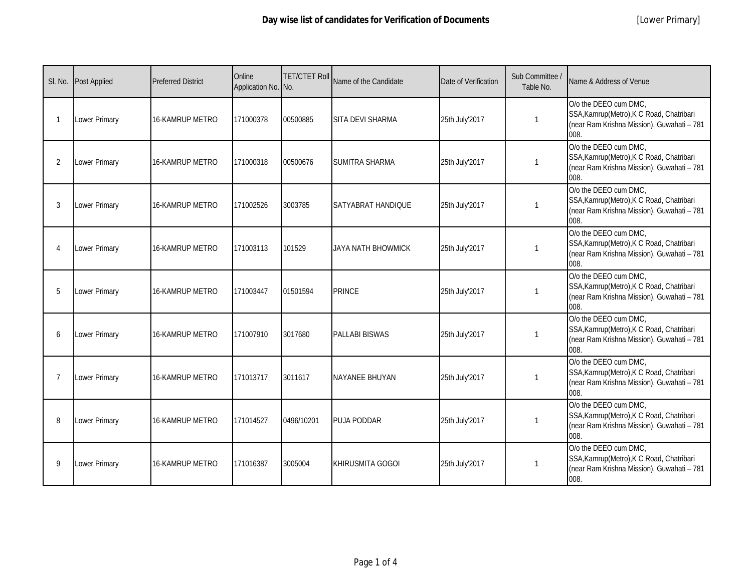|                | SI. No. Post Applied | <b>Preferred District</b> | Online<br>Application No. No. | <b>TET/CTET Roll</b> | Name of the Candidate   | Date of Verification | Sub Committee /<br>Table No. | Name & Address of Venue                                                                                                  |
|----------------|----------------------|---------------------------|-------------------------------|----------------------|-------------------------|----------------------|------------------------------|--------------------------------------------------------------------------------------------------------------------------|
|                | Lower Primary        | 16-KAMRUP METRO           | 171000378                     | 00500885             | <b>SITA DEVI SHARMA</b> | 25th July'2017       | $\mathbf{1}$                 | O/o the DEEO cum DMC,<br>SSA, Kamrup (Metro), K C Road, Chatribari<br>(near Ram Krishna Mission), Guwahati - 781<br>008. |
| $\overline{2}$ | Lower Primary        | <b>16-KAMRUP METRO</b>    | 171000318                     | 00500676             | <b>SUMITRA SHARMA</b>   | 25th July'2017       | $\mathbf{1}$                 | O/o the DEEO cum DMC,<br>SSA, Kamrup (Metro), K C Road, Chatribari<br>(near Ram Krishna Mission), Guwahati - 781<br>008. |
| 3              | Lower Primary        | 16-KAMRUP METRO           | 171002526                     | 3003785              | SATYABRAT HANDIQUE      | 25th July'2017       | $\mathbf{1}$                 | O/o the DEEO cum DMC,<br>SSA, Kamrup (Metro), K C Road, Chatribari<br>(near Ram Krishna Mission), Guwahati - 781<br>008. |
|                | Lower Primary        | 16-KAMRUP METRO           | 171003113                     | 101529               | JAYA NATH BHOWMICK      | 25th July'2017       | $\mathbf 1$                  | O/o the DEEO cum DMC,<br>SSA, Kamrup (Metro), K C Road, Chatribari<br>(near Ram Krishna Mission), Guwahati - 781<br>008. |
| 5              | <b>Lower Primary</b> | 16-KAMRUP METRO           | 171003447                     | 01501594             | <b>PRINCE</b>           | 25th July'2017       | $\mathbf{1}$                 | O/o the DEEO cum DMC,<br>SSA, Kamrup(Metro), K C Road, Chatribari<br>(near Ram Krishna Mission), Guwahati - 781<br>008.  |
| 6              | <b>Lower Primary</b> | <b>16-KAMRUP METRO</b>    | 171007910                     | 3017680              | <b>PALLABI BISWAS</b>   | 25th July'2017       | -1                           | O/o the DEEO cum DMC,<br>SSA, Kamrup(Metro), K C Road, Chatribari<br>(near Ram Krishna Mission), Guwahati - 781<br>008.  |
|                | <b>Lower Primary</b> | 16-KAMRUP METRO           | 171013717                     | 3011617              | <b>NAYANEE BHUYAN</b>   | 25th July'2017       | $\mathbf{1}$                 | O/o the DEEO cum DMC,<br>SSA, Kamrup (Metro), K C Road, Chatribari<br>(near Ram Krishna Mission), Guwahati - 781<br>008. |
| 8              | Lower Primary        | 16-KAMRUP METRO           | 171014527                     | 0496/10201           | <b>PUJA PODDAR</b>      | 25th July'2017       | $\mathbf{1}$                 | O/o the DEEO cum DMC,<br>SSA, Kamrup (Metro), K C Road, Chatribari<br>(near Ram Krishna Mission), Guwahati - 781<br>008. |
| 9              | <b>Lower Primary</b> | 16-KAMRUP METRO           | 171016387                     | 3005004              | <b>KHIRUSMITA GOGOI</b> | 25th July'2017       | -1                           | O/o the DEEO cum DMC,<br>SSA, Kamrup (Metro), K C Road, Chatribari<br>(near Ram Krishna Mission), Guwahati - 781<br>008. |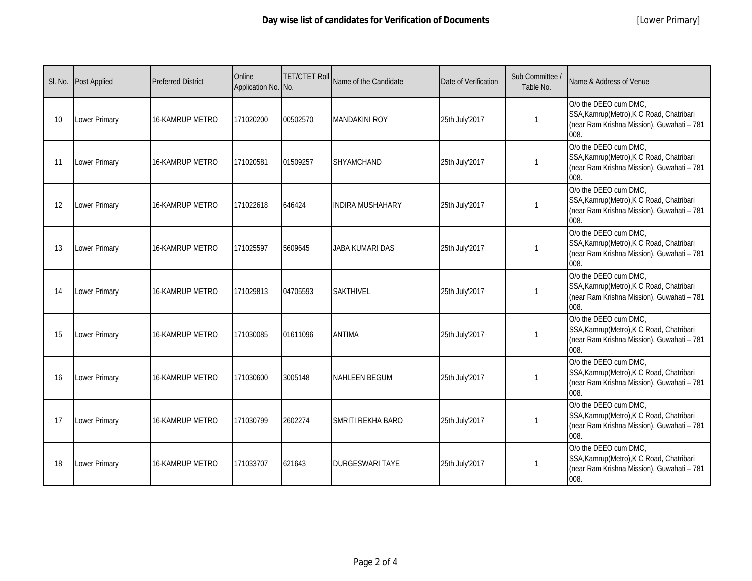|    | SI. No. Post Applied | <b>Preferred District</b> | Online<br>Application No. No. | <b>TET/CTET Roll</b> | Name of the Candidate    | Date of Verification | Sub Committee /<br>Table No. | Name & Address of Venue                                                                                                  |
|----|----------------------|---------------------------|-------------------------------|----------------------|--------------------------|----------------------|------------------------------|--------------------------------------------------------------------------------------------------------------------------|
| 10 | <b>Lower Primary</b> | <b>16-KAMRUP METRO</b>    | 171020200                     | 00502570             | <b>MANDAKINI ROY</b>     | 25th July'2017       | $\mathbf{1}$                 | O/o the DEEO cum DMC,<br>SSA, Kamrup (Metro), K C Road, Chatribari<br>(near Ram Krishna Mission), Guwahati - 781<br>008. |
| 11 | <b>Lower Primary</b> | <b>16-KAMRUP METRO</b>    | 171020581                     | 01509257             | <b>SHYAMCHAND</b>        | 25th July'2017       | $\mathbf{1}$                 | O/o the DEEO cum DMC,<br>SSA, Kamrup (Metro), K C Road, Chatribari<br>(near Ram Krishna Mission), Guwahati - 781<br>008. |
| 12 | Lower Primary        | <b>16-KAMRUP METRO</b>    | 171022618                     | 646424               | <b>INDIRA MUSHAHARY</b>  | 25th July'2017       | $\mathbf{1}$                 | O/o the DEEO cum DMC,<br>SSA, Kamrup (Metro), K C Road, Chatribari<br>(near Ram Krishna Mission), Guwahati - 781<br>008. |
| 13 | <b>Lower Primary</b> | <b>16-KAMRUP METRO</b>    | 171025597                     | 5609645              | <b>JABA KUMARI DAS</b>   | 25th July'2017       | 1                            | O/o the DEEO cum DMC,<br>SSA, Kamrup (Metro), K C Road, Chatribari<br>(near Ram Krishna Mission), Guwahati - 781<br>008. |
| 14 | Lower Primary        | <b>16-KAMRUP METRO</b>    | 171029813                     | 04705593             | <b>SAKTHIVEL</b>         | 25th July'2017       | 1                            | O/o the DEEO cum DMC,<br>SSA, Kamrup (Metro), K C Road, Chatribari<br>(near Ram Krishna Mission), Guwahati - 781<br>008. |
| 15 | Lower Primary        | 16-KAMRUP METRO           | 171030085                     | 01611096             | <b>ANTIMA</b>            | 25th July'2017       | $\mathbf{1}$                 | O/o the DEEO cum DMC,<br>SSA, Kamrup (Metro), K C Road, Chatribari<br>(near Ram Krishna Mission), Guwahati - 781<br>008. |
| 16 | Lower Primary        | <b>16-KAMRUP METRO</b>    | 171030600                     | 3005148              | <b>NAHLEEN BEGUM</b>     | 25th July'2017       | 1                            | O/o the DEEO cum DMC,<br>SSA, Kamrup (Metro), K C Road, Chatribari<br>(near Ram Krishna Mission), Guwahati - 781<br>008. |
| 17 | Lower Primary        | 16-KAMRUP METRO           | 171030799                     | 2602274              | <b>SMRITI REKHA BARO</b> | 25th July'2017       | 1                            | O/o the DEEO cum DMC,<br>SSA, Kamrup (Metro), K C Road, Chatribari<br>(near Ram Krishna Mission), Guwahati - 781<br>008. |
| 18 | <b>Lower Primary</b> | <b>16-KAMRUP METRO</b>    | 171033707                     | 621643               | <b>DURGESWARI TAYE</b>   | 25th July'2017       | 1                            | O/o the DEEO cum DMC,<br>SSA, Kamrup (Metro), K C Road, Chatribari<br>(near Ram Krishna Mission), Guwahati - 781<br>008. |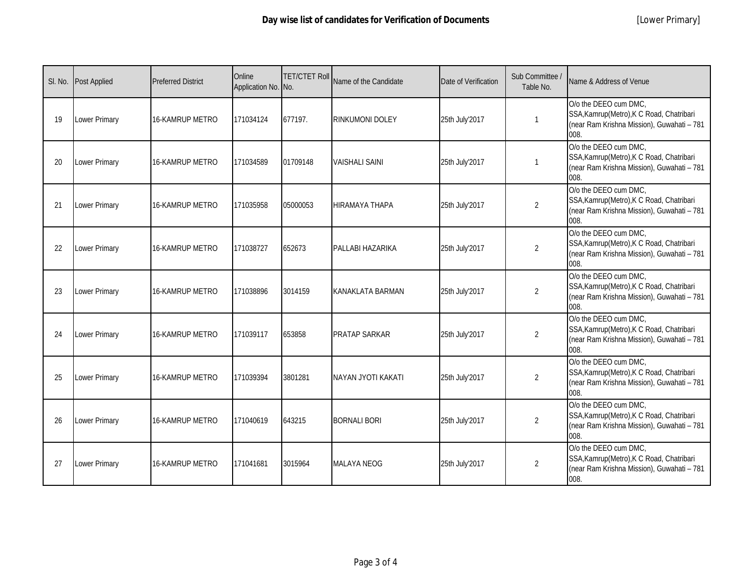|    | SI. No. Post Applied | <b>Preferred District</b> | Online<br>Application No. No. | <b>TET/CTET Roll</b> | Name of the Candidate     | Date of Verification | Sub Committee /<br>Table No. | Name & Address of Venue                                                                                                  |
|----|----------------------|---------------------------|-------------------------------|----------------------|---------------------------|----------------------|------------------------------|--------------------------------------------------------------------------------------------------------------------------|
| 19 | Lower Primary        | <b>16-KAMRUP METRO</b>    | 171034124                     | 677197.              | <b>RINKUMONI DOLEY</b>    | 25th July'2017       | $\mathbf{1}$                 | O/o the DEEO cum DMC,<br>SSA, Kamrup (Metro), K C Road, Chatribari<br>(near Ram Krishna Mission), Guwahati - 781<br>008. |
| 20 | Lower Primary        | 16-KAMRUP METRO           | 171034589                     | 01709148             | <b>VAISHALI SAINI</b>     | 25th July'2017       | $\mathbf{1}$                 | O/o the DEEO cum DMC.<br>SSA, Kamrup (Metro), K C Road, Chatribari<br>(near Ram Krishna Mission), Guwahati - 781<br>008. |
| 21 | Lower Primary        | 16-KAMRUP METRO           | 171035958                     | 05000053             | HIRAMAYA THAPA            | 25th July'2017       | $\overline{2}$               | O/o the DEEO cum DMC,<br>SSA, Kamrup (Metro), K C Road, Chatribari<br>(near Ram Krishna Mission), Guwahati - 781<br>008. |
| 22 | Lower Primary        | 16-KAMRUP METRO           | 171038727                     | 652673               | PALLABI HAZARIKA          | 25th July'2017       | $\overline{2}$               | O/o the DEEO cum DMC,<br>SSA, Kamrup (Metro), K C Road, Chatribari<br>(near Ram Krishna Mission), Guwahati - 781<br>008. |
| 23 | <b>Lower Primary</b> | <b>16-KAMRUP METRO</b>    | 171038896                     | 3014159              | <b>KANAKLATA BARMAN</b>   | 25th July'2017       | $\overline{2}$               | O/o the DEEO cum DMC,<br>SSA, Kamrup (Metro), K C Road, Chatribari<br>(near Ram Krishna Mission), Guwahati - 781<br>008. |
| 24 | <b>Lower Primary</b> | <b>16-KAMRUP METRO</b>    | 171039117                     | 653858               | <b>PRATAP SARKAR</b>      | 25th July'2017       | $\overline{2}$               | O/o the DEEO cum DMC,<br>SSA, Kamrup (Metro), K C Road, Chatribari<br>(near Ram Krishna Mission), Guwahati - 781<br>008. |
| 25 | Lower Primary        | <b>16-KAMRUP METRO</b>    | 171039394                     | 3801281              | <b>NAYAN JYOTI KAKATI</b> | 25th July'2017       | $\overline{2}$               | O/o the DEEO cum DMC,<br>SSA, Kamrup (Metro), K C Road, Chatribari<br>(near Ram Krishna Mission), Guwahati - 781<br>008. |
| 26 | Lower Primary        | 16-KAMRUP METRO           | 171040619                     | 643215               | <b>BORNALI BORI</b>       | 25th July'2017       | $\overline{2}$               | O/o the DEEO cum DMC,<br>SSA, Kamrup (Metro), K C Road, Chatribari<br>(near Ram Krishna Mission), Guwahati - 781<br>008. |
| 27 | Lower Primary        | 16-KAMRUP METRO           | 171041681                     | 3015964              | <b>MALAYA NEOG</b>        | 25th July'2017       | $\overline{2}$               | O/o the DEEO cum DMC,<br>SSA, Kamrup (Metro), K C Road, Chatribari<br>(near Ram Krishna Mission), Guwahati - 781<br>008. |